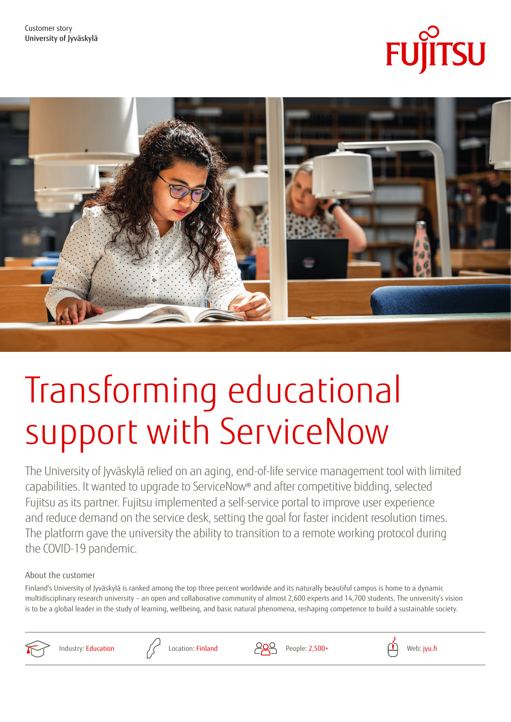



# Transforming educational support with ServiceNow

The University of Jyväskylä relied on an aging, end-of-life service management tool with limited capabilities. It wanted to upgrade to ServiceNow® and after competitive bidding, selected Fujitsu as its partner. Fujitsu implemented a self-service portal to improve user experience and reduce demand on the service desk, setting the goal for faster incident resolution times. The platform gave the university the ability to transition to a remote working protocol during the COVID-19 pandemic.

## About the customer

Finland's University of Jyväskylä is ranked among the top three percent worldwide and its naturally beautiful campus is home to a dynamic multidisciplinary research university – an open and collaborative community of almost 2,600 experts and 14,700 students. The university's vision is to be a global leader in the study of learning, wellbeing, and basic natural phenomena, reshaping competence to build a sustainable society.